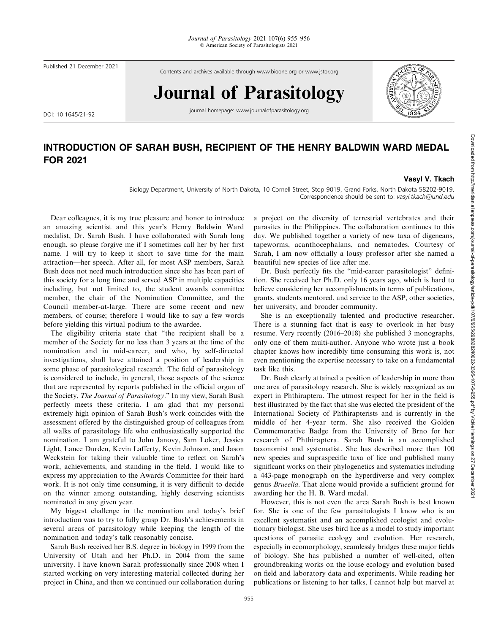Published 21 December 2021

Contents and archives available through www.bioone.org or www.jstor.org

## Journal of Parasitology

DOI: 10.1645/21-92

journal homepage: www.journalofparasitology.org



## INTRODUCTION OF SARAH BUSH, RECIPIENT OF THE HENRY BALDWIN WARD MEDAL FOR 2021

## Vasyl V. Tkach

Biology Department, University of North Dakota, 10 Cornell Street, Stop 9019, Grand Forks, North Dakota 58202-9019. Correspondence should be sent to: vasyl.tkach@und.edu

Dear colleagues, it is my true pleasure and honor to introduce an amazing scientist and this year's Henry Baldwin Ward medalist, Dr. Sarah Bush. I have collaborated with Sarah long enough, so please forgive me if I sometimes call her by her first name. I will try to keep it short to save time for the main attraction—her speech. After all, for most ASP members, Sarah Bush does not need much introduction since she has been part of this society for a long time and served ASP in multiple capacities including, but not limited to, the student awards committee member, the chair of the Nomination Committee, and the Council member-at-large. There are some recent and new members, of course; therefore I would like to say a few words before yielding this virtual podium to the awardee.

The eligibility criteria state that ''the recipient shall be a member of the Society for no less than 3 years at the time of the nomination and in mid-career, and who, by self-directed investigations, shall have attained a position of leadership in some phase of parasitological research. The field of parasitology is considered to include, in general, those aspects of the science that are represented by reports published in the official organ of the Society, The Journal of Parasitology.'' In my view, Sarah Bush perfectly meets these criteria. I am glad that my personal extremely high opinion of Sarah Bush's work coincides with the assessment offered by the distinguished group of colleagues from all walks of parasitology life who enthusiastically supported the nomination. I am grateful to John Janovy, Sam Loker, Jessica Light, Lance Durden, Kevin Lafferty, Kevin Johnson, and Jason Weckstein for taking their valuable time to reflect on Sarah's work, achievements, and standing in the field. I would like to express my appreciation to the Awards Committee for their hard work. It is not only time consuming, it is very difficult to decide on the winner among outstanding, highly deserving scientists nominated in any given year.

My biggest challenge in the nomination and today's brief introduction was to try to fully grasp Dr. Bush's achievements in several areas of parasitology while keeping the length of the nomination and today's talk reasonably concise.

Sarah Bush received her B.S. degree in biology in 1999 from the University of Utah and her Ph.D. in 2004 from the same university. I have known Sarah professionally since 2008 when I started working on very interesting material collected during her project in China, and then we continued our collaboration during a project on the diversity of terrestrial vertebrates and their parasites in the Philippines. The collaboration continues to this day. We published together a variety of new taxa of digeneans, tapeworms, acanthocephalans, and nematodes. Courtesy of Sarah, I am now officially a lousy professor after she named a beautiful new species of lice after me.

Dr. Bush perfectly fits the ''mid-career parasitologist'' definition. She received her Ph.D. only 16 years ago, which is hard to believe considering her accomplishments in terms of publications, grants, students mentored, and service to the ASP, other societies, her university, and broader community.

She is an exceptionally talented and productive researcher. There is a stunning fact that is easy to overlook in her busy resume. Very recently (2016–2018) she published 3 monographs, only one of them multi-author. Anyone who wrote just a book chapter knows how incredibly time consuming this work is, not even mentioning the expertise necessary to take on a fundamental task like this.

Dr. Bush clearly attained a position of leadership in more than one area of parasitology research. She is widely recognized as an expert in Phthiraptera. The utmost respect for her in the field is best illustrated by the fact that she was elected the president of the International Society of Phthirapterists and is currently in the middle of her 4-year term. She also received the Golden Commemorative Badge from the University of Brno for her research of Phthiraptera. Sarah Bush is an accomplished taxonomist and systematist. She has described more than 100 new species and supraspecific taxa of lice and published many significant works on their phylogenetics and systematics including a 443-page monograph on the hyperdiverse and very complex genus Brueelia. That alone would provide a sufficient ground for awarding her the H. B. Ward medal.

However, this is not even the area Sarah Bush is best known for. She is one of the few parasitologists I know who is an excellent systematist and an accomplished ecologist and evolutionary biologist. She uses bird lice as a model to study important questions of parasite ecology and evolution. Her research, especially in ecomorphology, seamlessly bridges these major fields of biology. She has published a number of well-cited, often groundbreaking works on the louse ecology and evolution based on field and laboratory data and experiments. While reading her publications or listening to her talks, I cannot help but marvel at